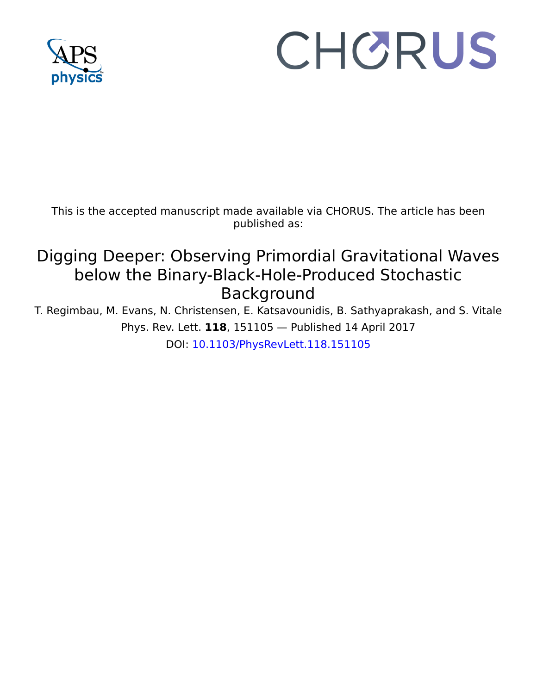

## CHORUS

This is the accepted manuscript made available via CHORUS. The article has been published as:

## Digging Deeper: Observing Primordial Gravitational Waves below the Binary-Black-Hole-Produced Stochastic Background

T. Regimbau, M. Evans, N. Christensen, E. Katsavounidis, B. Sathyaprakash, and S. Vitale Phys. Rev. Lett. **118**, 151105 — Published 14 April 2017 DOI: [10.1103/PhysRevLett.118.151105](http://dx.doi.org/10.1103/PhysRevLett.118.151105)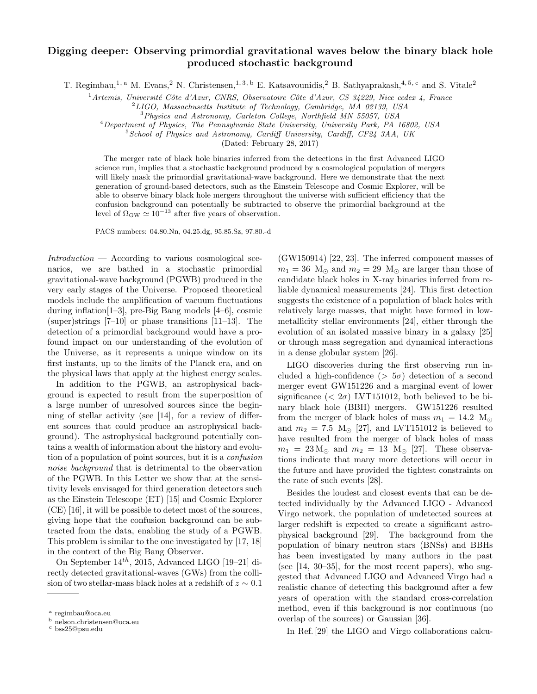## Digging deeper: Observing primordial gravitational waves below the binary black hole produced stochastic background

T. Regimbau,<sup>1, a</sup> M. Evans,<sup>2</sup> N. Christensen,<sup>1, 3, b</sup> E. Katsavounidis,<sup>2</sup> B. Sathyaprakash,<sup>4, 5, c</sup> and S. Vitale<sup>2</sup>

 $1$ Artemis, Université Côte d'Azur, CNRS, Observatoire Côte d'Azur, CS 34229, Nice cedex 4, France

 ${}^{2}LIGO$ , Massachusetts Institute of Technology, Cambridge, MA 02139, USA

<sup>3</sup>Physics and Astronomy, Carleton College, Northfield MN 55057, USA

<sup>4</sup>Department of Physics, The Pennsylvania State University, University Park, PA 16802, USA

<sup>5</sup> School of Physics and Astronomy, Cardiff University, Cardiff, CF24 3AA, UK

(Dated: February 28, 2017)

The merger rate of black hole binaries inferred from the detections in the first Advanced LIGO science run, implies that a stochastic background produced by a cosmological population of mergers will likely mask the primordial gravitational-wave background. Here we demonstrate that the next generation of ground-based detectors, such as the Einstein Telescope and Cosmic Explorer, will be able to observe binary black hole mergers throughout the universe with sufficient efficiency that the confusion background can potentially be subtracted to observe the primordial background at the level of  $\Omega_{\rm GW} \simeq 10^{-13}$  after five years of observation.

PACS numbers: 04.80.Nn, 04.25.dg, 95.85.Sz, 97.80.-d

 $Introduction$  — According to various cosmological scenarios, we are bathed in a stochastic primordial gravitational-wave background (PGWB) produced in the very early stages of the Universe. Proposed theoretical models include the amplification of vacuum fluctuations during inflation[1–3], pre-Big Bang models [4–6], cosmic (super)strings  $[7-10]$  or phase transitions  $[11-13]$ . The detection of a primordial background would have a profound impact on our understanding of the evolution of the Universe, as it represents a unique window on its first instants, up to the limits of the Planck era, and on the physical laws that apply at the highest energy scales.

In addition to the PGWB, an astrophysical background is expected to result from the superposition of a large number of unresolved sources since the beginning of stellar activity (see [14], for a review of different sources that could produce an astrophysical background). The astrophysical background potentially contains a wealth of information about the history and evolution of a population of point sources, but it is a confusion noise background that is detrimental to the observation of the PGWB. In this Letter we show that at the sensitivity levels envisaged for third generation detectors such as the Einstein Telescope (ET) [15] and Cosmic Explorer (CE) [16], it will be possible to detect most of the sources, giving hope that the confusion background can be subtracted from the data, enabling the study of a PGWB. This problem is similar to the one investigated by [17, 18] in the context of the Big Bang Observer.

On September  $14^{th}$ , 2015, Advanced LIGO [19-21] directly detected gravitational-waves (GWs) from the collision of two stellar-mass black holes at a redshift of  $z \sim 0.1$ 

(GW150914) [22, 23]. The inferred component masses of  $m_1 = 36$  M<sub> $\odot$ </sub> and  $m_2 = 29$  M<sub> $\odot$ </sub> are larger than those of candidate black holes in X-ray binaries inferred from reliable dynamical measurements [24]. This first detection suggests the existence of a population of black holes with relatively large masses, that might have formed in lowmetallicity stellar environments [24], either through the evolution of an isolated massive binary in a galaxy [25] or through mass segregation and dynamical interactions in a dense globular system [26].

LIGO discoveries during the first observing run included a high-confidence ( $> 5\sigma$ ) detection of a second merger event GW151226 and a marginal event of lower significance  $( $2\sigma$ ) LVT151012, both believed to be bi$ nary black hole (BBH) mergers. GW151226 resulted from the merger of black holes of mass  $m_1 = 14.2$  M<sub>o</sub> and  $m_2 = 7.5$  M<sub> $\odot$ </sub> [27], and LVT151012 is believed to have resulted from the merger of black holes of mass  $m_1 = 23 \,\mathrm{M}_{\odot}$  and  $m_2 = 13 \,\mathrm{M}_{\odot}$  [27]. These observations indicate that many more detections will occur in the future and have provided the tightest constraints on the rate of such events [28].

Besides the loudest and closest events that can be detected individually by the Advanced LIGO - Advanced Virgo network, the population of undetected sources at larger redshift is expected to create a significant astrophysical background [29]. The background from the population of binary neutron stars (BNSs) and BBHs has been investigated by many authors in the past (see  $[14, 30-35]$ , for the most recent papers), who suggested that Advanced LIGO and Advanced Virgo had a realistic chance of detecting this background after a few years of operation with the standard cross-correlation method, even if this background is nor continuous (no overlap of the sources) or Gaussian [36].

In Ref. [29] the LIGO and Virgo collaborations calcu-

a regimbau@oca.eu

<sup>b</sup> nelson.christensen@oca.eu

<sup>c</sup> bss25@psu.edu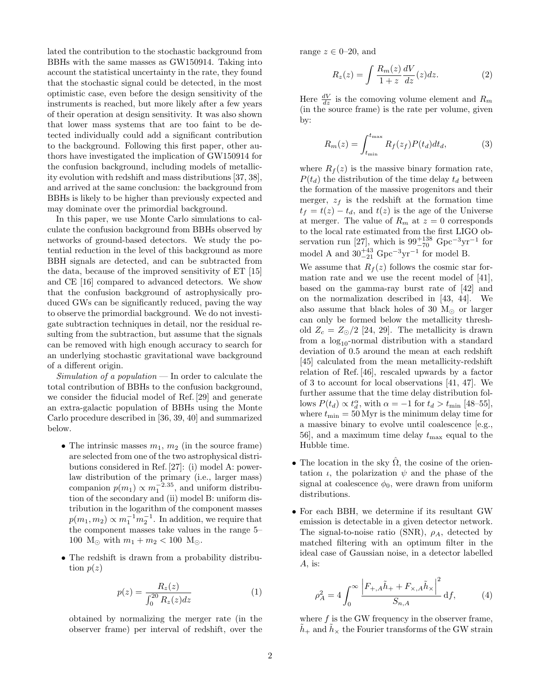lated the contribution to the stochastic background from BBHs with the same masses as GW150914. Taking into account the statistical uncertainty in the rate, they found that the stochastic signal could be detected, in the most optimistic case, even before the design sensitivity of the instruments is reached, but more likely after a few years of their operation at design sensitivity. It was also shown that lower mass systems that are too faint to be detected individually could add a significant contribution to the background. Following this first paper, other authors have investigated the implication of GW150914 for the confusion background, including models of metallicity evolution with redshift and mass distributions [37, 38], and arrived at the same conclusion: the background from BBHs is likely to be higher than previously expected and may dominate over the primordial background.

In this paper, we use Monte Carlo simulations to calculate the confusion background from BBHs observed by networks of ground-based detectors. We study the potential reduction in the level of this background as more BBH signals are detected, and can be subtracted from the data, because of the improved sensitivity of ET [15] and CE [16] compared to advanced detectors. We show that the confusion background of astrophysically produced GWs can be significantly reduced, paving the way to observe the primordial background. We do not investigate subtraction techniques in detail, nor the residual resulting from the subtraction, but assume that the signals can be removed with high enough accuracy to search for an underlying stochastic gravitational wave background of a different origin.

Simulation of a population  $\mathcal{L}$  In order to calculate the total contribution of BBHs to the confusion background, we consider the fiducial model of Ref. [29] and generate an extra-galactic population of BBHs using the Monte Carlo procedure described in [36, 39, 40] and summarized below.

- The intrinsic masses  $m_1, m_2$  (in the source frame) are selected from one of the two astrophysical distributions considered in Ref. [27]: (i) model A: powerlaw distribution of the primary (i.e., larger mass) companion  $p(m_1) \propto m_1^{-2.35}$ , and uniform distribution of the secondary and (ii) model B: uniform distribution in the logarithm of the component masses  $p(m_1, m_2) \propto m_1^{-1} m_2^{-1}$ . In addition, we require that the component masses take values in the range 5– 100 M<sub> $\odot$ </sub> with  $m_1 + m_2 < 100$  M<sub> $\odot$ </sub>.
- The redshift is drawn from a probability distribution  $p(z)$

$$
p(z) = \frac{R_z(z)}{\int_0^{20} R_z(z) dz}
$$
 (1)

obtained by normalizing the merger rate (in the observer frame) per interval of redshift, over the range  $z \in 0-20$ , and

$$
R_z(z) = \int \frac{R_m(z)}{1+z} \frac{dV}{dz}(z) dz.
$$
 (2)

Here  $\frac{dV}{dz}$  is the comoving volume element and  $R_m$ (in the source frame) is the rate per volume, given by:

$$
R_m(z) = \int_{t_{\min}}^{t_{\max}} R_f(z_f) P(t_d) dt_d, \tag{3}
$$

where  $R_f(z)$  is the massive binary formation rate,  $P(t_d)$  the distribution of the time delay  $t_d$  between the formation of the massive progenitors and their merger,  $z_f$  is the redshift at the formation time  $t_f = t(z) - t_d$ , and  $t(z)$  is the age of the Universe at merger. The value of  $R_m$  at  $z = 0$  corresponds to the local rate estimated from the first LIGO observation run [27], which is  $99^{+138}_{-70}$  Gpc<sup>-3</sup>yr<sup>-1</sup> for model A and  $30^{+43}_{-21}$  Gpc<sup>-3</sup>yr<sup>-1</sup> for model B.

We assume that  $R_f(z)$  follows the cosmic star formation rate and we use the recent model of [41], based on the gamma-ray burst rate of [42] and on the normalization described in [43, 44]. We also assume that black holes of 30  $M_{\odot}$  or larger can only be formed below the metallicity threshold  $Z_c = Z_{\odot}/2$  [24, 29]. The metallicity is drawn from a  $log_{10}$ -normal distribution with a standard deviation of 0.5 around the mean at each redshift [45] calculated from the mean metallicity-redshift relation of Ref. [46], rescaled upwards by a factor of 3 to account for local observations [41, 47]. We further assume that the time delay distribution follows  $P(t_d) \propto t_d^{\alpha}$ , with  $\alpha = -1$  for  $t_d > t_{\text{min}}$  [48–55], where  $t_{\text{min}} = 50$  Myr is the minimum delay time for a massive binary to evolve until coalescence [e.g., 56, and a maximum time delay  $t_{\text{max}}$  equal to the Hubble time.

- The location in the sky  $\hat{\Omega}$ , the cosine of the orientation  $\iota$ , the polarization  $\psi$  and the phase of the signal at coalescence  $\phi_0$ , were drawn from uniform distributions.
- For each BBH, we determine if its resultant GW emission is detectable in a given detector network. The signal-to-noise ratio (SNR),  $\rho_A$ , detected by matched filtering with an optimum filter in the ideal case of Gaussian noise, in a detector labelled  $A$ , is:

$$
\rho_A^2 = 4 \int_0^\infty \frac{\left| F_{+,A} \tilde{h}_+ + F_{\times,A} \tilde{h}_\times \right|^2}{S_{n,A}} \, \mathrm{d}f,\tag{4}
$$

where  $f$  is the GW frequency in the observer frame,  $h_+$  and  $h_\times$  the Fourier transforms of the GW strain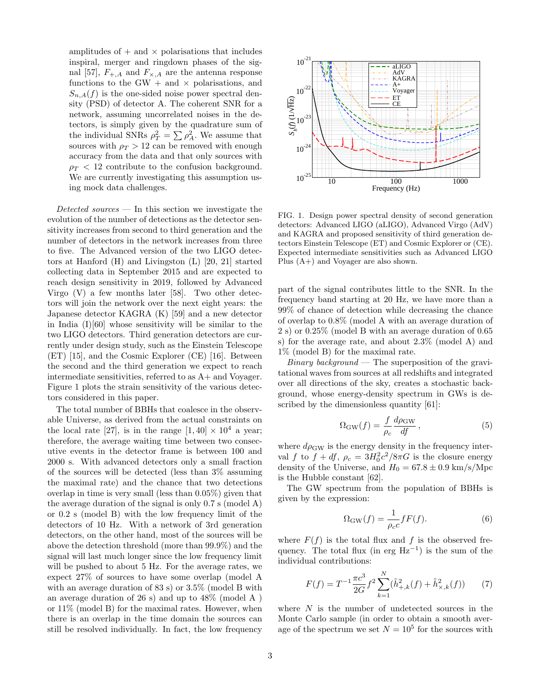amplitudes of  $+$  and  $\times$  polarisations that includes inspiral, merger and ringdown phases of the signal [57],  $F_{+,A}$  and  $F_{\times,A}$  are the antenna response functions to the GW  $+$  and  $\times$  polarisations, and  $S_{n,A}(f)$  is the one-sided noise power spectral density (PSD) of detector A. The coherent SNR for a network, assuming uncorrelated noises in the detectors, is simply given by the quadrature sum of the individual SNRs  $\rho_T^2 = \sum \rho_A^2$ . We assume that sources with  $\rho_T > 12$  can be removed with enough accuracy from the data and that only sources with  $\rho_T < 12$  contribute to the confusion background. We are currently investigating this assumption using mock data challenges.

Detected sources  $-$  In this section we investigate the evolution of the number of detections as the detector sensitivity increases from second to third generation and the number of detectors in the network increases from three to five. The Advanced version of the two LIGO detectors at Hanford (H) and Livingston (L) [20, 21] started collecting data in September 2015 and are expected to reach design sensitivity in 2019, followed by Advanced Virgo (V) a few months later [58]. Two other detectors will join the network over the next eight years: the Japanese detector KAGRA (K) [59] and a new detector in India  $(I)[60]$  whose sensitivity will be similar to the two LIGO detectors. Third generation detectors are currently under design study, such as the Einstein Telescope (ET) [15], and the Cosmic Explorer (CE) [16]. Between the second and the third generation we expect to reach intermediate sensitivities, referred to as A+ and Voyager. Figure 1 plots the strain sensitivity of the various detectors considered in this paper.

The total number of BBHs that coalesce in the observable Universe, as derived from the actual constraints on the local rate [27], is in the range  $[1, 40] \times 10^4$  a year; therefore, the average waiting time between two consecutive events in the detector frame is between 100 and 2000 s. With advanced detectors only a small fraction of the sources will be detected (less than 3% assuming the maximal rate) and the chance that two detections overlap in time is very small (less than 0.05%) given that the average duration of the signal is only 0.7 s (model A) or 0.2 s (model B) with the low frequency limit of the detectors of 10 Hz. With a network of 3rd generation detectors, on the other hand, most of the sources will be above the detection threshold (more than 99.9%) and the signal will last much longer since the low frequency limit will be pushed to about 5 Hz. For the average rates, we expect 27% of sources to have some overlap (model A with an average duration of 83 s) or 3.5% (model B with an average duration of 26 s) and up to 48% (model A ) or 11% (model B) for the maximal rates. However, when there is an overlap in the time domain the sources can is a month of the resolution of the resolution of the resolution of the resolution of the resolution of the resolution of the resolution of the resolution of the resolution of the resolution of the low frequency in the lo



FIG. 1. Design power spectral density of second generation detectors: Advanced LIGO (aLIGO), Advanced Virgo (AdV) and KAGRA and proposed sensitivity of third generation detectors Einstein Telescope (ET) and Cosmic Explorer or (CE). Expected intermediate sensitivities such as Advanced LIGO Plus (A+) and Voyager are also shown.

part of the signal contributes little to the SNR. In the frequency band starting at 20 Hz, we have more than a 99% of chance of detection while decreasing the chance of overlap to 0.8% (model A with an average duration of 2 s) or 0.25% (model B with an average duration of 0.65 s) for the average rate, and about 2.3% (model A) and 1% (model B) for the maximal rate.

*Binary background* — The superposition of the gravitational waves from sources at all redshifts and integrated over all directions of the sky, creates a stochastic background, whose energy-density spectrum in GWs is described by the dimensionless quantity [61]:

$$
\Omega_{\rm GW}(f) = \frac{f}{\rho_c} \frac{d\rho_{\rm GW}}{df},\qquad(5)
$$

where  $d\rho_{\rm GW}$  is the energy density in the frequency interval f to  $f + df$ ,  $\rho_c = 3H_0^2 c^2 / 8\pi G$  is the closure energy density of the Universe, and  $H_0 = 67.8 \pm 0.9 \text{ km/s/Mpc}$ is the Hubble constant [62].

The GW spectrum from the population of BBHs is given by the expression:

$$
\Omega_{\text{GW}}(f) = \frac{1}{\rho_c c} fF(f). \tag{6}
$$

where  $F(f)$  is the total flux and f is the observed frequency. The total flux (in erg  $Hz^{-1}$ ) is the sum of the individual contributions:

$$
F(f) = T^{-1} \frac{\pi c^3}{2G} f^2 \sum_{k=1}^{N} (\tilde{h}_{+,k}^2(f) + \tilde{h}_{\times,k}^2(f))
$$
 (7)

where  $N$  is the number of undetected sources in the Monte Carlo sample (in order to obtain a smooth average of the spectrum we set  $N = 10^5$  for the sources with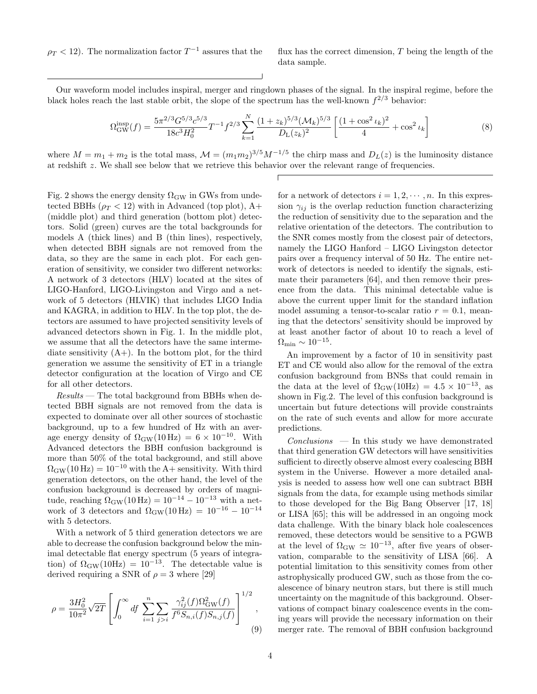$\rho_T < 12$ ). The normalization factor  $T^{-1}$  assures that the

flux has the correct dimension,  $T$  being the length of the data sample.

Our waveform model includes inspiral, merger and ringdown phases of the signal. In the inspiral regime, before the black holes reach the last stable orbit, the slope of the spectrum has the well-known  $f^{2/3}$  behavior:

$$
\Omega_{\rm GW}^{\rm insp}(f) = \frac{5\pi^{2/3}G^{5/3}c^{5/3}}{18c^3H_0^2}T^{-1}f^{2/3}\sum_{k=1}^N\frac{(1+z_k)^{5/3}(\mathcal{M}_k)^{5/3}}{D_{\rm L}(z_k)^2}\left[\frac{(1+\cos^2\iota_k)^2}{4}+\cos^2\iota_k\right]
$$
(8)

where  $M = m_1 + m_2$  is the total mass,  $\mathcal{M} = (m_1 m_2)^{3/5} M^{-1/5}$  the chirp mass and  $D_L(z)$  is the luminosity distance at redshift z. We shall see below that we retrieve this behavior over the relevant range of frequencies.

Fig. 2 shows the energy density  $\Omega_{\rm GW}$  in GWs from undetected BBHs ( $\rho_T < 12$ ) with in Advanced (top plot), A+ (middle plot) and third generation (bottom plot) detectors. Solid (green) curves are the total backgrounds for models A (thick lines) and B (thin lines), respectively, when detected BBH signals are not removed from the data, so they are the same in each plot. For each generation of sensitivity, we consider two different networks: A network of 3 detectors (HLV) located at the sites of LIGO-Hanford, LIGO-Livingston and Virgo and a network of 5 detectors (HLVIK) that includes LIGO India and KAGRA, in addition to HLV. In the top plot, the detectors are assumed to have projected sensitivity levels of advanced detectors shown in Fig. 1. In the middle plot, we assume that all the detectors have the same intermediate sensitivity  $(A+)$ . In the bottom plot, for the third generation we assume the sensitivity of ET in a triangle detector configuration at the location of Virgo and CE for all other detectors.

 $Results$  — The total background from BBHs when detected BBH signals are not removed from the data is expected to dominate over all other sources of stochastic background, up to a few hundred of Hz with an average energy density of  $\Omega_{\rm GW}(10 \text{ Hz}) = 6 \times 10^{-10}$ . With Advanced detectors the BBH confusion background is more than 50% of the total background, and still above  $\Omega_{\rm GW}(10\,\rm Hz) = 10^{-10}$  with the A+ sensitivity. With third generation detectors, on the other hand, the level of the confusion background is decreased by orders of magnitude, reaching  $\Omega_{\rm GW}(10\,{\rm Hz}) = 10^{-14} - 10^{-13}$  with a network of 3 detectors and  $\Omega_{\rm GW}(10\,{\rm Hz})$  =  $10^{-16} - 10^{-14}$ with 5 detectors.

With a network of 5 third generation detectors we are able to decrease the confusion background below the minimal detectable flat energy spectrum (5 years of integration) of  $\Omega_{\rm GW}(10\text{Hz}) = 10^{-13}$ . The detectable value is derived requiring a SNR of  $\rho = 3$  where [29]

$$
\rho = \frac{3H_0^2}{10\pi^2} \sqrt{2T} \left[ \int_0^\infty df \sum_{i=1}^n \sum_{j>i} \frac{\gamma_{ij}^2(f)\Omega_{\text{GW}}^2(f)}{f^6 S_{n,i}(f) S_{n,j}(f)} \right]^{1/2},\tag{9}
$$

for a network of detectors  $i = 1, 2, \dots, n$ . In this expression  $\gamma_{ij}$  is the overlap reduction function characterizing the reduction of sensitivity due to the separation and the relative orientation of the detectors. The contribution to the SNR comes mostly from the closest pair of detectors, namely the LIGO Hanford – LIGO Livingston detector pairs over a frequency interval of 50 Hz. The entire network of detectors is needed to identify the signals, estimate their parameters [64], and then remove their presence from the data. This minimal detectable value is above the current upper limit for the standard inflation model assuming a tensor-to-scalar ratio  $r = 0.1$ , meaning that the detectors' sensitivity should be improved by at least another factor of about 10 to reach a level of  $\Omega_{\rm min} \sim 10^{-15}$ .

An improvement by a factor of 10 in sensitivity past ET and CE would also allow for the removal of the extra confusion background from BNSs that could remain in the data at the level of  $\Omega_{\rm GW}(10\text{Hz}) = 4.5 \times 10^{-13}$ , as shown in Fig.2. The level of this confusion background is uncertain but future detections will provide constraints on the rate of such events and allow for more accurate predictions.

 $Conclusions$  — In this study we have demonstrated that third generation GW detectors will have sensitivities sufficient to directly observe almost every coalescing BBH system in the Universe. However a more detailed analysis is needed to assess how well one can subtract BBH signals from the data, for example using methods similar to those developed for the Big Bang Observer [17, 18] or LISA [65]; this will be addressed in an ongoing mock data challenge. With the binary black hole coalescences removed, these detectors would be sensitive to a PGWB at the level of  $\Omega_{\rm GW} \simeq 10^{-13}$ , after five years of observation, comparable to the sensitivity of LISA [66]. A potential limitation to this sensitivity comes from other astrophysically produced GW, such as those from the coalescence of binary neutron stars, but there is still much uncertainty on the magnitude of this background. Observations of compact binary coalescence events in the coming years will provide the necessary information on their merger rate. The removal of BBH confusion background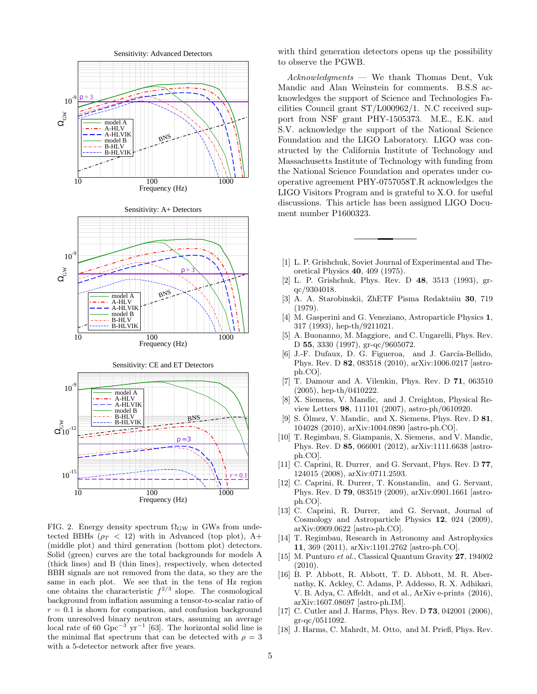

FIG. 2. Energy density spectrum  $\Omega_{\rm GW}$  in GWs from undetected BBHs ( $\rho_T < 12$ ) with in Advanced (top plot), A+ (middle plot) and third generation (bottom plot) detectors. Solid (green) curves are the total backgrounds for models A (thick lines) and B (thin lines), respectively, when detected BBH signals are not removed from the data, so they are the same in each plot. We see that in the tens of Hz region one obtains the characteristic  $f^{2/3}$  slope. The cosmological background from inflation assuming a tensor-to-scalar ratio of  $r = 0.1$  is shown for comparison, and confusion background from unresolved binary neutron stars, assuming an average local rate of 60  $Gpc^{-3}$  yr<sup>-1</sup> [63]. The horizontal solid line is the minimal flat spectrum that can be detected with  $\rho = 3$ with a 5-detector network after five years.

with third generation detectors opens up the possibility to observe the PGWB.

Acknowledgments — We thank Thomas Dent, Vuk Mandic and Alan Weinstein for comments. B.S.S acknowledges the support of Science and Technologies Facilities Council grant ST/L000962/1. N.C received support from NSF grant PHY-1505373. M.E., E.K. and S.V. acknowledge the support of the National Science Foundation and the LIGO Laboratory. LIGO was constructed by the California Institute of Technology and Massachusetts Institute of Technology with funding from the National Science Foundation and operates under cooperative agreement PHY-0757058T.R acknowledges the LIGO Visitors Program and is grateful to X.O. for useful discussions. This article has been assigned LIGO Document number P1600323.

- [1] L. P. Grishchuk, Soviet Journal of Experimental and Theoretical Physics 40, 409 (1975).
- [2] L. P. Grishchuk, Phys. Rev. D 48, 3513 (1993), grqc/9304018.
- [3] A. A. Starobinskii, ZhETF Pisma Redaktsiiu 30, 719 (1979).
- [4] M. Gasperini and G. Veneziano, Astroparticle Physics 1, 317 (1993), hep-th/9211021.
- [5] A. Buonanno, M. Maggiore, and C. Ungarelli, Phys. Rev. D 55, 3330 (1997), gr-qc/9605072.
- [6] J.-F. Dufaux, D. G. Figueroa, and J. García-Bellido, Phys. Rev. D 82, 083518 (2010), arXiv:1006.0217 [astroph.CO].
- [7] T. Damour and A. Vilenkin, Phys. Rev. D 71, 063510 (2005), hep-th/0410222.
- [8] X. Siemens, V. Mandic, and J. Creighton, Physical Review Letters 98, 111101 (2007), astro-ph/0610920.
- [9] S. Ölmez, V. Mandic, and X. Siemens, Phys. Rev. D  $81$ , 104028 (2010), arXiv:1004.0890 [astro-ph.CO].
- [10] T. Regimbau, S. Giampanis, X. Siemens, and V. Mandic, Phys. Rev. D 85, 066001 (2012), arXiv:1111.6638 [astroph.CO].
- [11] C. Caprini, R. Durrer, and G. Servant, Phys. Rev. D **77**, 124015 (2008), arXiv:0711.2593.
- [12] C. Caprini, R. Durrer, T. Konstandin, and G. Servant, Phys. Rev. D 79, 083519 (2009), arXiv:0901.1661 [astroph.CO].
- [13] C. Caprini, R. Durrer, and G. Servant, Journal of Cosmology and Astroparticle Physics 12, 024 (2009), arXiv:0909.0622 [astro-ph.CO].
- [14] T. Regimbau, Research in Astronomy and Astrophysics 11, 369 (2011), arXiv:1101.2762 [astro-ph.CO].
- [15] M. Punturo et al., Classical Quantum Gravity 27, 194002  $(2010).$
- [16] B. P. Abbott, R. Abbott, T. D. Abbott, M. R. Abernathy, K. Ackley, C. Adams, P. Addesso, R. X. Adhikari, V. B. Adya, C. Affeldt, and et al., ArXiv e-prints (2016), arXiv:1607.08697 [astro-ph.IM].
- [17] C. Cutler and J. Harms, Phys. Rev. D **73**, 042001 (2006), gr-qc/0511092.
- [18] J. Harms, C. Mahrdt, M. Otto, and M. Prieß, Phys. Rev.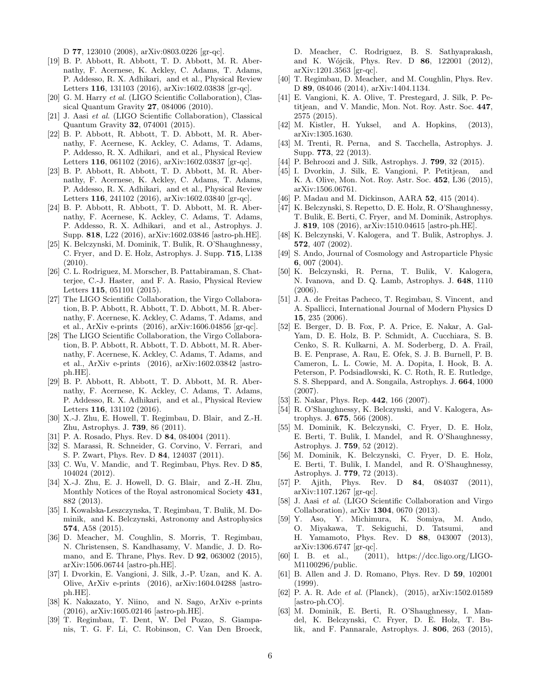D 77, 123010 (2008), arXiv:0803.0226 [gr-qc].

- [19] B. P. Abbott, R. Abbott, T. D. Abbott, M. R. Abernathy, F. Acernese, K. Ackley, C. Adams, T. Adams, P. Addesso, R. X. Adhikari, and et al., Physical Review Letters 116, 131103 (2016), arXiv:1602.03838 [gr-qc].
- [20] G. M. Harry et al. (LIGO Scientific Collaboration), Classical Quantum Gravity 27, 084006 (2010).
- [21] J. Aasi et al. (LIGO Scientific Collaboration), Classical Quantum Gravity 32, 074001 (2015).
- [22] B. P. Abbott, R. Abbott, T. D. Abbott, M. R. Abernathy, F. Acernese, K. Ackley, C. Adams, T. Adams, P. Addesso, R. X. Adhikari, and et al., Physical Review Letters 116, 061102 (2016), arXiv:1602.03837 [gr-qc].
- [23] B. P. Abbott, R. Abbott, T. D. Abbott, M. R. Abernathy, F. Acernese, K. Ackley, C. Adams, T. Adams, P. Addesso, R. X. Adhikari, and et al., Physical Review Letters 116, 241102 (2016), arXiv:1602.03840 [gr-qc].
- [24] B. P. Abbott, R. Abbott, T. D. Abbott, M. R. Abernathy, F. Acernese, K. Ackley, C. Adams, T. Adams, P. Addesso, R. X. Adhikari, and et al., Astrophys. J. Supp. 818, L22 (2016), arXiv:1602.03846 [astro-ph.HE].
- [25] K. Belczynski, M. Dominik, T. Bulik, R. O'Shaughnessy, C. Fryer, and D. E. Holz, Astrophys. J. Supp. 715, L138 (2010).
- [26] C. L. Rodriguez, M. Morscher, B. Pattabiraman, S. Chatterjee, C.-J. Haster, and F. A. Rasio, Physical Review Letters 115, 051101 (2015).
- [27] The LIGO Scientific Collaboration, the Virgo Collaboration, B. P. Abbott, R. Abbott, T. D. Abbott, M. R. Abernathy, F. Acernese, K. Ackley, C. Adams, T. Adams, and et al., ArXiv e-prints (2016), arXiv:1606.04856 [gr-qc].
- [28] The LIGO Scientific Collaboration, the Virgo Collaboration, B. P. Abbott, R. Abbott, T. D. Abbott, M. R. Abernathy, F. Acernese, K. Ackley, C. Adams, T. Adams, and et al., ArXiv e-prints (2016), arXiv:1602.03842 [astroph.HE].
- [29] B. P. Abbott, R. Abbott, T. D. Abbott, M. R. Abernathy, F. Acernese, K. Ackley, C. Adams, T. Adams, P. Addesso, R. X. Adhikari, and et al., Physical Review Letters 116, 131102 (2016).
- [30] X.-J. Zhu, E. Howell, T. Regimbau, D. Blair, and Z.-H. Zhu, Astrophys. J. 739, 86 (2011).
- [31] P. A. Rosado, Phys. Rev. D 84, 084004 (2011).
- [32] S. Marassi, R. Schneider, G. Corvino, V. Ferrari, and S. P. Zwart, Phys. Rev. D 84, 124037 (2011).
- [33] C. Wu, V. Mandic, and T. Regimbau, Phys. Rev. D 85, 104024 (2012).
- [34] X.-J. Zhu, E. J. Howell, D. G. Blair, and Z.-H. Zhu, Monthly Notices of the Royal astronomical Society 431, 882 (2013).
- [35] I. Kowalska-Leszczynska, T. Regimbau, T. Bulik, M. Dominik, and K. Belczynski, Astronomy and Astrophysics 574, A58 (2015).
- [36] D. Meacher, M. Coughlin, S. Morris, T. Regimbau, N. Christensen, S. Kandhasamy, V. Mandic, J. D. Romano, and E. Thrane, Phys. Rev. D 92, 063002 (2015), arXiv:1506.06744 [astro-ph.HE].
- [37] I. Dvorkin, E. Vangioni, J. Silk, J.-P. Uzan, and K. A. Olive, ArXiv e-prints (2016), arXiv:1604.04288 [astroph.HE].
- [38] K. Nakazato, Y. Niino, and N. Sago, ArXiv e-prints (2016), arXiv:1605.02146 [astro-ph.HE].
- [39] T. Regimbau, T. Dent, W. Del Pozzo, S. Giampanis, T. G. F. Li, C. Robinson, C. Van Den Broeck,

D. Meacher, C. Rodriguez, B. S. Sathyaprakash, and K. Wójcik, Phys. Rev. D **86**, 122001 (2012), arXiv:1201.3563 [gr-qc].

- [40] T. Regimbau, D. Meacher, and M. Coughlin, Phys. Rev. D 89, 084046 (2014), arXiv:1404.1134.
- [41] E. Vangioni, K. A. Olive, T. Prestegard, J. Silk, P. Petitjean, and V. Mandic, Mon. Not. Roy. Astr. Soc. 447, 2575 (2015).
- [42] M. Kistler, H. Yuksel, and A. Hopkins, (2013), arXiv:1305.1630.
- [43] M. Trenti, R. Perna, and S. Tacchella, Astrophys. J. Supp. 773, 22 (2013).
- [44] P. Behroozi and J. Silk, Astrophys. J. **799**, 32 (2015).
- [45] I. Dvorkin, J. Silk, E. Vangioni, P. Petitjean, and K. A. Olive, Mon. Not. Roy. Astr. Soc. 452, L36 (2015), arXiv:1506.06761.
- [46] P. Madau and M. Dickinson, AARA 52, 415 (2014).
- [47] K. Belczynski, S. Repetto, D. E. Holz, R. O'Shaughnessy, T. Bulik, E. Berti, C. Fryer, and M. Dominik, Astrophys. J. 819, 108 (2016), arXiv:1510.04615 [astro-ph.HE].
- [48] K. Belczynski, V. Kalogera, and T. Bulik, Astrophys. J. 572, 407 (2002).
- [49] S. Ando, Journal of Cosmology and Astroparticle Physic 6, 007 (2004).
- [50] K. Belczynski, R. Perna, T. Bulik, V. Kalogera, N. Ivanova, and D. Q. Lamb, Astrophys. J. 648, 1110 (2006).
- [51] J. A. de Freitas Pacheco, T. Regimbau, S. Vincent, and A. Spallicci, International Journal of Modern Physics D 15, 235 (2006).
- [52] E. Berger, D. B. Fox, P. A. Price, E. Nakar, A. Gal-Yam, D. E. Holz, B. P. Schmidt, A. Cucchiara, S. B. Cenko, S. R. Kulkarni, A. M. Soderberg, D. A. Frail, B. E. Penprase, A. Rau, E. Ofek, S. J. B. Burnell, P. B. Cameron, L. L. Cowie, M. A. Dopita, I. Hook, B. A. Peterson, P. Podsiadlowski, K. C. Roth, R. E. Rutledge, S. S. Sheppard, and A. Songaila, Astrophys. J. 664, 1000 (2007).
- [53] E. Nakar, Phys. Rep. 442, 166 (2007).
- [54] R. O'Shaughnessy, K. Belczynski, and V. Kalogera, Astrophys. J. 675, 566 (2008).
- [55] M. Dominik, K. Belczynski, C. Fryer, D. E. Holz, E. Berti, T. Bulik, I. Mandel, and R. O'Shaughnessy, Astrophys. J. 759, 52 (2012).
- [56] M. Dominik, K. Belczynski, C. Fryer, D. E. Holz, E. Berti, T. Bulik, I. Mandel, and R. O'Shaughnessy, Astrophys. J. 779, 72 (2013).
- [57] P. Ajith, Phys. Rev. D 84, 084037 (2011), arXiv:1107.1267 [gr-qc].
- [58] J. Aasi et al. (LIGO Scientific Collaboration and Virgo Collaboration), arXiv 1304, 0670 (2013).
- [59] Y. Aso, Y. Michimura, K. Somiya, M. Ando, O. Miyakawa, T. Sekiguchi, D. Tatsumi, and H. Yamamoto, Phys. Rev. D 88, 043007 (2013), arXiv:1306.6747 [gr-qc].
- [60] I. B. et al., (2011), https://dcc.ligo.org/LIGO-M1100296/public.
- [61] B. Allen and J. D. Romano, Phys. Rev. D 59, 102001 (1999).
- [62] P. A. R. Ade et al. (Planck), (2015), arXiv:1502.01589 [astro-ph.CO].
- [63] M. Dominik, E. Berti, R. O'Shaughnessy, I. Mandel, K. Belczynski, C. Fryer, D. E. Holz, T. Bulik, and F. Pannarale, Astrophys. J. 806, 263 (2015),